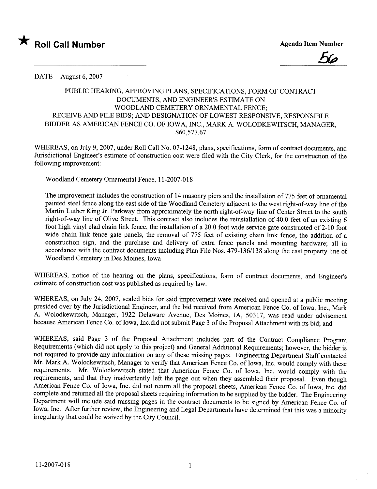



## DATE August 6, 2007

## PUBLIC HEARING, APPROVING PLANS, SPECIFICATIONS, FORM OF CONTRACT DOCUMENTS, AND ENGINER'S ESTIMATE ON WOODLAND CEMETERY ORNAMENTAL FENCE; RECEIVE AND FILE BIDS; AND DESIGNATION OF LOWEST RESPONSIVE, RESPONSIBLE BIDDER AS AMERICAN FENCE CO. OF IOWA, INC., MARK A. WOLODKEWITSCH, MANAGER, \$60,577.67

WHEREAS, on July 9, 2007, under Roll Call No. 07-1248, plans, specifications, form of contract documents, and Jurisdictional Engineer's estimate of construction cost were filed with the City Clerk, for the construction of the following improvement:

Woodland Cemetery Ornamental Fence, 11-2007-018

The improvement includes the construction of 14 masonry piers and the installation of 775 feet of ornamental painted steel fence along the east side of the Woodland Cemetery adjacent to the west right-of-way line of the Martin Luther King Jr. Parkway from approximately the north right-of-way line of Center Street to the south right-of-way line of Olive Street. This contract also includes the reinstallation of 40.0 feet of an existing 6 foot high vinyl clad chain link fence, the installation of a 20.0 foot wide service gate constructed of 2-10 foot wide chain link fence gate panels, the removal of 775 feet of existing chain link fence, the addition of a construction sign, and the purchase and delivery of extra fence panels and mounting hardware; all in accordance with the contract documents including Plan File Nos. 479-136/138 along the east property line of Woodland Cemetery in Des Moines, Iowa

WHEREAS, notice of the hearing on the plans, specifications, form of contract documents, and Engineer's estimate of construction cost was published as required by law.

WHEREAS, on July 24, 2007, sealed bids for said improvement were received and opened at a public meeting presided over by the Jurisdictional Engineer, and the bid received from American Fence Co. of Iowa, Inc., Mark A. W olodkewitsch, Manager, 1922 Delaware Avenue, Des Moines, IA, 50317, was read under advisement because American Fence Co. of Iowa, Inc.did not submit Page 3 of the Proposal Attachment with its bid; and

WHEREAS, said Page 3 of the Proposal Attachment includes part of the Contract Compliance Program Requirements (which did not apply to this project) and General Additional Requirements; however, the bidder is not required to provide any information on any of these missing pages. Engineering Department Staff contacted Mr. Mark A. Wolodkewitsch, Manager to verify that American Fence Co. of Iowa, Inc. would comply with these requirements. Mr. Wolodkewitsch stated that American Fence Co. of Iowa, Inc. would comply with the requirements, and that they inadvertently left the page out when they assembled their proposal. Even though American Fence Co. of Iowa, Inc. did not return all the proposal sheets, American Fence Co. of Iowa, Inc. did complete and returned all the proposal sheets requiring information to be supplied by the bidder. The Engineering Department will include said missing pages in the contract documents to be signed by American Fence Co. of Iowa, Inc. After further review, the Engineering and Legal Departments have determined that this was a minority irregularity that could be waived by the City CounciL.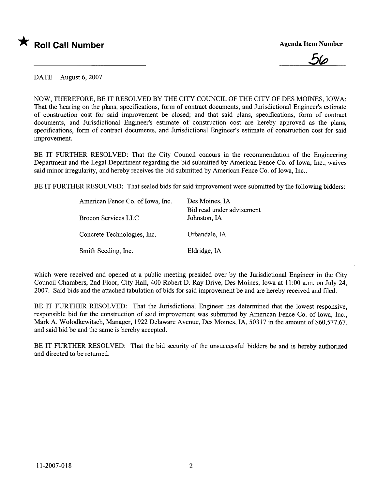

<u>56</u>

DATE August 6, 2007

NOW, THEREFORE, BE IT RESOLVED BY THE CITY COUNCIL OF THE CITY OF DES MOINES, IOWA: That the hearing on the plans, specifications, form of contract documents, and Jurisdictional Engineer's estimate of construction cost for said improvement be closed; and that said plans, specifications, form of contract documents, and Jurisdictional Engineer's estimate of construction cost are hereby approved as the plans, specifications, form of contract documents, and Jurisdictional Engineer's estimate of construction cost for said improvement.

BE IT FURTHER RESOLVED: That the City Council concurs in the recommendation of the Engineering Department and the Legal Department regarding the bid submitted by American Fence Co. of Iowa, Inc., waives said minor irregularity, and hereby receives the bid submitted by American Fence Co. of Iowa, Inc..

BE IT FURTHER RESOLVED: That sealed bids for said improvement were submitted by the following bidders:

| American Fence Co. of Iowa, Inc. | Des Moines, IA                            |  |  |
|----------------------------------|-------------------------------------------|--|--|
| Brocon Services LLC              | Bid read under advisement<br>Johnston, IA |  |  |
| Concrete Technologies, Inc.      | Urbandale, IA                             |  |  |
| Smith Seeding, Inc.              | Eldridge, IA                              |  |  |

which were received and opened at a public meeting presided over by the Jursdictional Engineer in the City Council Chambers, 2nd Floor, City Hall, 400 Robert D. Ray Drive, Des Moines, Iowa at 11 :00 a.m. on July 24, 2007. Said bids and the attached tabulation of bids for said improvement be and are hereby received and filed.

BE IT FURTHER RESOLVED: That the Jurisdictional Engineer has determined that the lowest responsive, responsible bid for the construction of said improvement was submitted by American Fence Co. of Iowa, Inc., Mark A. Wolodkewitsch, Manager, 1922 Delaware Avenue, Des Moines, IA, 50317 in the amount of \$60,577.67, and said bid be and the same is hereby accepted.

BE IT FURTHER RESOLVED: That the bid security of the unsuccessful bidders be and is hereby authorized and directed to be returned.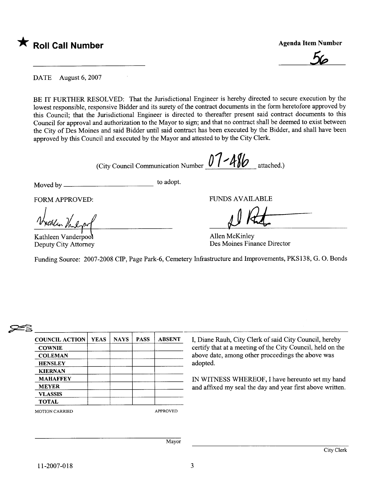

**Agenda Item Number** 



DATE August 6, 2007

BE IT FURTHER RESOLVED: That the Jurisdictional Engineer is hereby directed to secure execution by the lowest responsible, responsive Bidder and its surety of the contract documents in the form heretofore approved by this Council; that the Jurisdictional Engineer is directed to thereafter present said contract documents to this Council for approval and authorization to the Mayor to sign; and that no contract shall be deemed to exist between the City of Des Moines and said Bidder until said contract has been executed by the Bidder, and shall have been approved by this Council and executed by the Mayor and attested to by the City Clerk.

(City Council Communication Number  $07 - 416$  attached.)

Moved by to adopt.

 $\sim 10$ 

FORM APPROVED:

Worthlen Vaulyn

Deputy City Attorney

FUNS AVAILABLE

JJ Kna

Allen McKinley Des Moines Finance Director

Funding Source: 2007-2008 CIP, Page Park-6, Cemetery Infrastructure and Improvements, PKS138, G. O. Bonds

## **25**

| <b>COUNCIL ACTION</b>                                               | <b>YEAS</b> | <b>NAYS</b> | <b>PASS</b> | <b>ABSENT</b>   | I, Diane Rauh, City Clerk of said City Council, hereby                                                                      |
|---------------------------------------------------------------------|-------------|-------------|-------------|-----------------|-----------------------------------------------------------------------------------------------------------------------------|
| <b>COWNIE</b><br><b>COLEMAN</b><br><b>HENSLEY</b><br><b>KIERNAN</b> |             |             |             |                 | certify that at a meeting of the City Council, held on the<br>above date, among other proceedings the above was<br>adopted. |
| <b>MAHAFFEY</b><br><b>MEYER</b><br><b>VLASSIS</b><br><b>TOTAL</b>   |             |             |             |                 | IN WITNESS WHEREOF, I have hereunto set my hand<br>and affixed my seal the day and year first above written.                |
| <b>MOTION CARRIED</b>                                               |             |             |             | <b>APPROVED</b> |                                                                                                                             |
|                                                                     |             |             |             | Mayor           |                                                                                                                             |
|                                                                     |             |             |             |                 | City Clerk                                                                                                                  |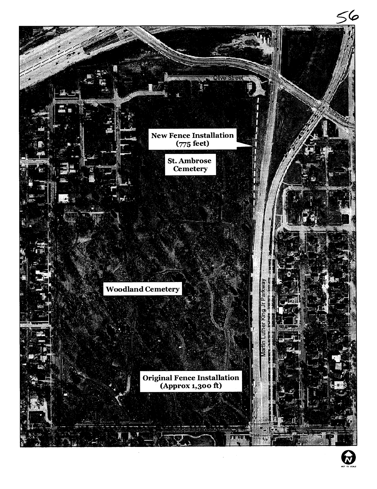

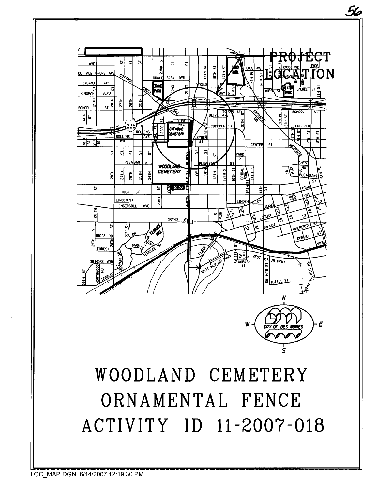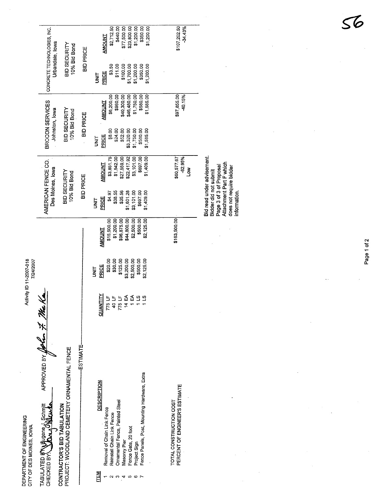|  |                                                                                                                                                                                                     | \$2,712.50<br>\$440.00<br>\$77,500.00<br>\$23,800.00<br>\$1,200.00<br>\$350.00<br>\$1,200.00<br><b>AMOUNT</b>                                                                               | \$107,202.50<br>$-34.43%$                                                                                                                                                                                                        |                                                                  |
|--|-----------------------------------------------------------------------------------------------------------------------------------------------------------------------------------------------------|---------------------------------------------------------------------------------------------------------------------------------------------------------------------------------------------|----------------------------------------------------------------------------------------------------------------------------------------------------------------------------------------------------------------------------------|------------------------------------------------------------------|
|  |                                                                                                                                                                                                     |                                                                                                                                                                                             | \$100.00<br>\$1,700.00<br>\$1,200.00<br>\$350.00<br>\$1,200.00<br>\$3.50<br>\$11.00<br>PRICE<br>i<br>M                                                                                                                           |                                                                  |
|  |                                                                                                                                                                                                     |                                                                                                                                                                                             | \$960.00<br>\$40,300.00<br>\$46,480.00<br>\$1,750.00<br>\$580.00<br>\$6,200.00<br>\$1,585.00<br><b>AMOUNT</b>                                                                                                                    | \$97,855.00<br>40.15%                                            |
|  |                                                                                                                                                                                                     |                                                                                                                                                                                             | \$24.00<br>\$52.00<br>\$3,320.00<br>\$1,750.00<br>\$580.00<br>\$1,585.00<br>\$8.00<br>PRICE<br>i<br>3                                                                                                                            |                                                                  |
|  |                                                                                                                                                                                                     | 10% Bid Bond<br><b>BID PRICE</b>                                                                                                                                                            | \$697.00<br>\$1,542.00<br>\$27,559.00<br>\$22,417.92<br>\$3,851.75<br>\$3,101.00<br>\$1,409.00<br><b>AMOUNT</b>                                                                                                                  | $-62.95%$<br>\$60,577.67<br>ŠΩ                                   |
|  |                                                                                                                                                                                                     |                                                                                                                                                                                             | \$697.00<br>\$38.55<br>\$35.56<br>\$1,601.28<br>\$3,101.00<br>\$1,409.00<br>\$4.97<br><b>PRICE</b><br><b>III</b><br>S                                                                                                            |                                                                  |
|  |                                                                                                                                                                                                     |                                                                                                                                                                                             | \$96,875.00<br>\$44,800.00<br>\$2,500.00<br>\$500.00<br>\$1,200.00<br>\$2,125.00<br>\$15,500.00<br><b>AMOUNT</b>                                                                                                                 | \$163,500.00                                                     |
|  |                                                                                                                                                                                                     |                                                                                                                                                                                             | \$3,200.00<br>\$2,500.00<br>\$30.00<br>\$125.00<br>\$500.00<br>\$2,125.00<br>\$20.00<br>PRICE<br><b>SINL</b>                                                                                                                     |                                                                  |
|  |                                                                                                                                                                                                     |                                                                                                                                                                                             | 775 LF<br>40 LF<br>775 LF<br>14 EA<br>1 E∕<br>്ട<br><b>QUANTIT</b>                                                                                                                                                               |                                                                  |
|  |                                                                                                                                                                                                     | -ESTIMATE-                                                                                                                                                                                  | Fence Panels, Post, Mounting Hardware, Extra<br><b>DESCRIPTION</b><br>Ornamental Fence, Painted Steel<br>Removal of Chain Link Fence<br>Reinstall Chain Link Fence<br>Fence Gate, 20 foot<br>Masonry Pier<br>Project Sign<br>TEM | PERCENT OF ENGINEER'S ESTIMATE<br><b>TOTAL CONSTRUCTION COST</b> |
|  | CONCRETE TECHNOLOGIES, INC.<br>BROCON SERVICES<br>Johnston, lowa<br>AMERICAN FENCE CO.<br>Des Moines, Iowa<br>APPROVED BY John 7. Me Ko<br>TABULATED BY Bugene J. Schmitt<br>CHECKED BY <b>BAAA</b> | Urbandale, lowa<br>BID SECURITY<br>10% Bid Bond<br><b>BID SECURITY</b><br>10% Bid Bond<br><b>BID SECURITY</b><br>PROJECT: WOODLAND CEMETERY ORNAMENTAL FENCE<br>CONTRACTOR'S BID TABULATION | <b>BID PRICE</b><br><b>BID PRICE</b>                                                                                                                                                                                             |                                                                  |

Bid read under advisement.<br>Bidder did not submit<br>Page 3 of 3 of Proposal<br>Attachment Part F which<br>does not require bidder<br>information. Bid read under advisement. Attachment Part F which Page 3 of 3 of Proposal does not require bidder Bidder did not submit information.

> $\frac{1}{2}$  $\overline{\phantom{a}}$

Page 1 of 2

 $\bar{\gamma}$ 

**7**<br>C